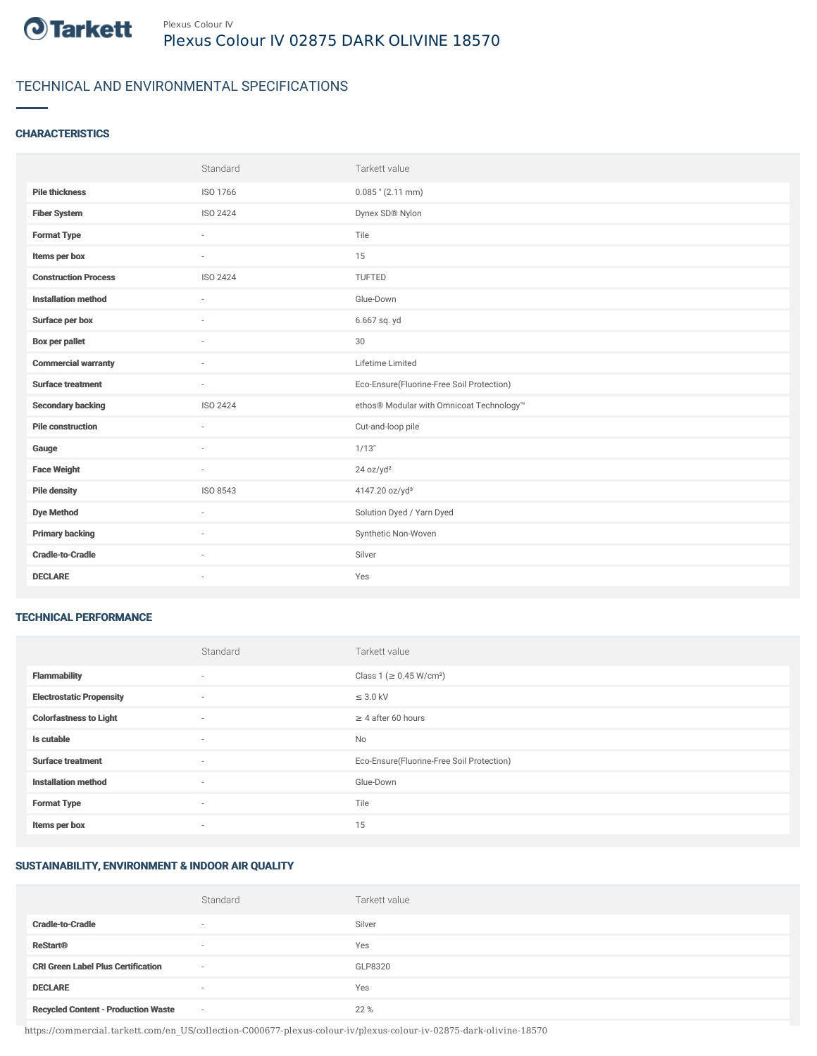

## TECHNICAL AND ENVIRONMENTAL SPECIFICATIONS

#### **CHARACTERISTICS**

|                             | Standard | Tarkett value                             |
|-----------------------------|----------|-------------------------------------------|
| <b>Pile thickness</b>       | ISO 1766 | $0.085$ " (2.11 mm)                       |
| <b>Fiber System</b>         | ISO 2424 | Dynex SD® Nylon                           |
| <b>Format Type</b>          | ×.       | Tile                                      |
| Items per box               | $\sim$   | 15                                        |
| <b>Construction Process</b> | ISO 2424 | TUFTED                                    |
| <b>Installation method</b>  | $\sim$   | Glue-Down                                 |
| Surface per box             | $\sim$   | 6.667 sq. yd                              |
| <b>Box per pallet</b>       | ×.       | 30                                        |
| <b>Commercial warranty</b>  | $\sim$   | Lifetime Limited                          |
| <b>Surface treatment</b>    | $\sim$   | Eco-Ensure(Fluorine-Free Soil Protection) |
| <b>Secondary backing</b>    | ISO 2424 | ethos® Modular with Omnicoat Technology™  |
| <b>Pile construction</b>    | ÷        | Cut-and-loop pile                         |
| Gauge                       | ×.       | 1/13"                                     |
| <b>Face Weight</b>          | $\sim$   | 24 oz/yd <sup>2</sup>                     |
| <b>Pile density</b>         | ISO 8543 | 4147.20 oz/yd <sup>3</sup>                |
| <b>Dye Method</b>           | $\sim$   | Solution Dyed / Yarn Dyed                 |
| <b>Primary backing</b>      | $\sim$   | Synthetic Non-Woven                       |
| <b>Cradle-to-Cradle</b>     |          | Silver                                    |
| <b>DECLARE</b>              | $\sim$   | Yes                                       |

#### TECHNICAL PERFORMANCE

|                                 | Standard                 | Tarkett value                             |
|---------------------------------|--------------------------|-------------------------------------------|
| <b>Flammability</b>             | ٠                        | Class 1 (≥ 0.45 W/cm <sup>2</sup> )       |
| <b>Electrostatic Propensity</b> | $\sim$                   | $\leq$ 3.0 kV                             |
| <b>Colorfastness to Light</b>   | ٠                        | $\geq 4$ after 60 hours                   |
| Is cutable                      | $\sim$                   | No                                        |
| <b>Surface treatment</b>        | $\sim$                   | Eco-Ensure(Fluorine-Free Soil Protection) |
| <b>Installation method</b>      | ٠                        | Glue-Down                                 |
| <b>Format Type</b>              | ٠                        | Tile                                      |
| Items per box                   | $\overline{\phantom{a}}$ | 15                                        |

### SUSTAINABILITY, ENVIRONMENT & INDOOR AIR QUALITY

|                                            | Standard                 | Tarkett value |
|--------------------------------------------|--------------------------|---------------|
| <b>Cradle-to-Cradle</b>                    | $\overline{\phantom{a}}$ | Silver        |
| <b>ReStart®</b>                            | $\overline{\phantom{a}}$ | Yes           |
| <b>CRI Green Label Plus Certification</b>  | $\sim$                   | GLP8320       |
| <b>DECLARE</b>                             | $\sim$                   | Yes           |
| <b>Recycled Content - Production Waste</b> | $\sim$                   | 22 %          |

https://commercial.tarkett.com/en\_US/collection-C000677-plexus-colour-iv/plexus-colour-iv-02875-dark-olivine-18570